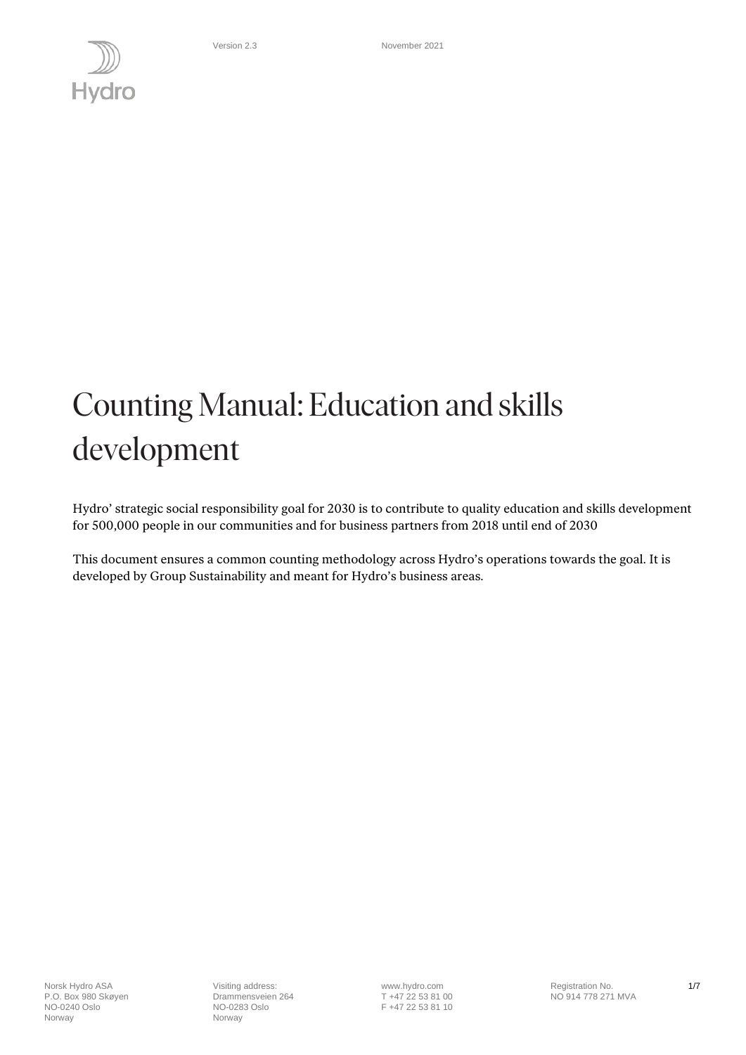

# Counting Manual: Education and skills development

Hydro' strategic social responsibility goal for 2030 is to contribute to quality education and skills development for 500,000 people in our communities and for business partners from 2018 until end of 2030

This document ensures a common counting methodology across Hydro's operations towards the goal. It is developed by Group Sustainability and meant for Hydro's business areas.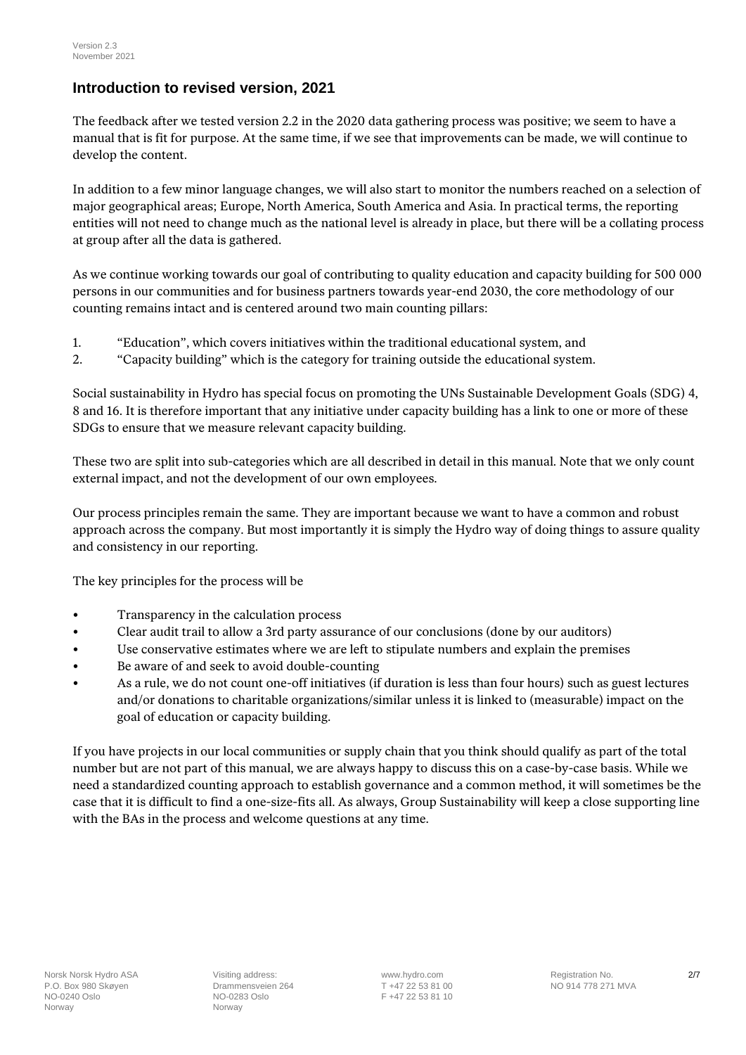## **Introduction to revised version, 2021**

The feedback after we tested version 2.2 in the 2020 data gathering process was positive; we seem to have a manual that is fit for purpose. At the same time, if we see that improvements can be made, we will continue to develop the content.

In addition to a few minor language changes, we will also start to monitor the numbers reached on a selection of major geographical areas; Europe, North America, South America and Asia. In practical terms, the reporting entities will not need to change much as the national level is already in place, but there will be a collating process at group after all the data is gathered.

As we continue working towards our goal of contributing to quality education and capacity building for 500 000 persons in our communities and for business partners towards year-end 2030, the core methodology of our counting remains intact and is centered around two main counting pillars:

- 1. "Education", which covers initiatives within the traditional educational system, and
- 2. "Capacity building" which is the category for training outside the educational system.

Social sustainability in Hydro has special focus on promoting the UNs Sustainable Development Goals (SDG) 4, 8 and 16. It is therefore important that any initiative under capacity building has a link to one or more of these SDGs to ensure that we measure relevant capacity building.

These two are split into sub-categories which are all described in detail in this manual. Note that we only count external impact, and not the development of our own employees.

Our process principles remain the same. They are important because we want to have a common and robust approach across the company. But most importantly it is simply the Hydro way of doing things to assure quality and consistency in our reporting.

The key principles for the process will be

- Transparency in the calculation process
- Clear audit trail to allow a 3rd party assurance of our conclusions (done by our auditors)
- Use conservative estimates where we are left to stipulate numbers and explain the premises
- Be aware of and seek to avoid double-counting
- As a rule, we do not count one-off initiatives (if duration is less than four hours) such as guest lectures and/or donations to charitable organizations/similar unless it is linked to (measurable) impact on the goal of education or capacity building.

If you have projects in our local communities or supply chain that you think should qualify as part of the total number but are not part of this manual, we are always happy to discuss this on a case-by-case basis. While we need a standardized counting approach to establish governance and a common method, it will sometimes be the case that it is difficult to find a one-size-fits all. As always, Group Sustainability will keep a close supporting line with the BAs in the process and welcome questions at any time.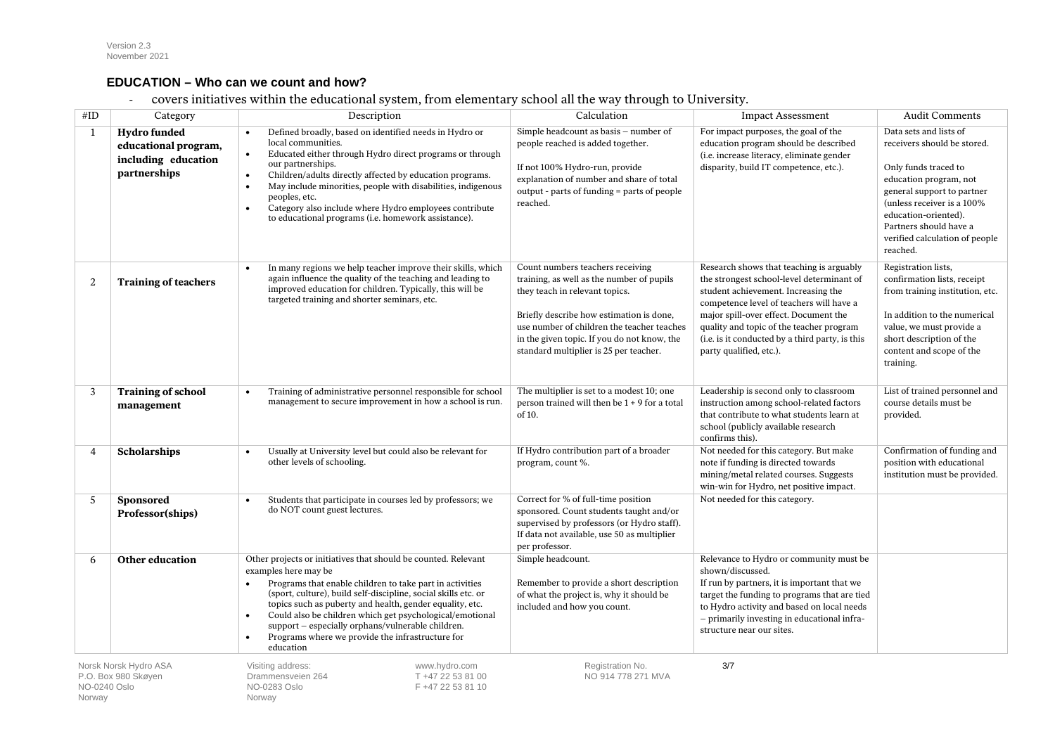#### **EDUCATION – Who can we count and how?**

- covers initiatives within the educational system, from elementary school all the way through to University.

| #ID                                                                    | Category                                                                    | Description                                                                                                                                                                                                                                                                                                                                                                                                                                                                                               | Calculation                                                                                                                                                                                                                                                                                        | <b>Impact Assessment</b>                                                                                                                                                                                                                                                                                                                    | <b>Audit Comments</b>                                                                                                                                                                                                                                               |
|------------------------------------------------------------------------|-----------------------------------------------------------------------------|-----------------------------------------------------------------------------------------------------------------------------------------------------------------------------------------------------------------------------------------------------------------------------------------------------------------------------------------------------------------------------------------------------------------------------------------------------------------------------------------------------------|----------------------------------------------------------------------------------------------------------------------------------------------------------------------------------------------------------------------------------------------------------------------------------------------------|---------------------------------------------------------------------------------------------------------------------------------------------------------------------------------------------------------------------------------------------------------------------------------------------------------------------------------------------|---------------------------------------------------------------------------------------------------------------------------------------------------------------------------------------------------------------------------------------------------------------------|
| 1                                                                      | Hydro funded<br>educational program,<br>including education<br>partnerships | Defined broadly, based on identified needs in Hydro or<br>$\bullet$<br>local communities.<br>Educated either through Hydro direct programs or through<br>$\bullet$<br>our partnerships.<br>Children/adults directly affected by education programs.<br>$\bullet$<br>May include minorities, people with disabilities, indigenous<br>$\bullet$<br>peoples, etc.<br>Category also include where Hydro employees contribute<br>$\bullet$<br>to educational programs (i.e. homework assistance).              | Simple headcount as basis - number of<br>people reached is added together.<br>If not 100% Hydro-run, provide<br>explanation of number and share of total<br>output - parts of funding = parts of people<br>reached.                                                                                | For impact purposes, the goal of the<br>education program should be described<br>(i.e. increase literacy, eliminate gender<br>disparity, build IT competence, etc.).                                                                                                                                                                        | Data sets and lists of<br>receivers should be stored.<br>Only funds traced to<br>education program, not<br>general support to partner<br>(unless receiver is a 100%<br>education-oriented).<br>Partners should have a<br>verified calculation of people<br>reached. |
| 2                                                                      | <b>Training of teachers</b>                                                 | In many regions we help teacher improve their skills, which<br>$\bullet$<br>again influence the quality of the teaching and leading to<br>improved education for children. Typically, this will be<br>targeted training and shorter seminars, etc.                                                                                                                                                                                                                                                        | Count numbers teachers receiving<br>training, as well as the number of pupils<br>they teach in relevant topics.<br>Briefly describe how estimation is done,<br>use number of children the teacher teaches<br>in the given topic. If you do not know, the<br>standard multiplier is 25 per teacher. | Research shows that teaching is arguably<br>the strongest school-level determinant of<br>student achievement. Increasing the<br>competence level of teachers will have a<br>major spill-over effect. Document the<br>quality and topic of the teacher program<br>(i.e. is it conducted by a third party, is this<br>party qualified, etc.). | Registration lists,<br>confirmation lists, receipt<br>from training institution, etc.<br>In addition to the numerical<br>value, we must provide a<br>short description of the<br>content and scope of the<br>training.                                              |
| 3                                                                      | <b>Training of school</b><br>management                                     | Training of administrative personnel responsible for school<br>$\bullet$<br>management to secure improvement in how a school is run.                                                                                                                                                                                                                                                                                                                                                                      | The multiplier is set to a modest 10; one<br>person trained will then be $1 + 9$ for a total<br>of 10.                                                                                                                                                                                             | Leadership is second only to classroom<br>instruction among school-related factors<br>that contribute to what students learn at<br>school (publicly available research<br>confirms this).                                                                                                                                                   | List of trained personnel and<br>course details must be<br>provided.                                                                                                                                                                                                |
| $\boldsymbol{\Delta}$                                                  | <b>Scholarships</b>                                                         | Usually at University level but could also be relevant for<br>$\bullet$<br>other levels of schooling.                                                                                                                                                                                                                                                                                                                                                                                                     | If Hydro contribution part of a broader<br>program, count %.                                                                                                                                                                                                                                       | Not needed for this category. But make<br>note if funding is directed towards<br>mining/metal related courses. Suggests<br>win-win for Hydro, net positive impact.                                                                                                                                                                          | Confirmation of funding and<br>position with educational<br>institution must be provided.                                                                                                                                                                           |
| 5                                                                      | <b>Sponsored</b><br>Professor(ships)                                        | Students that participate in courses led by professors; we<br>$\bullet$<br>do NOT count guest lectures.                                                                                                                                                                                                                                                                                                                                                                                                   | Correct for % of full-time position<br>sponsored. Count students taught and/or<br>supervised by professors (or Hydro staff).<br>If data not available, use 50 as multiplier<br>per professor.                                                                                                      | Not needed for this category.                                                                                                                                                                                                                                                                                                               |                                                                                                                                                                                                                                                                     |
| -6                                                                     | <b>Other education</b>                                                      | Other projects or initiatives that should be counted. Relevant<br>examples here may be<br>Programs that enable children to take part in activities<br>$\bullet$<br>(sport, culture), build self-discipline, social skills etc. or<br>topics such as puberty and health, gender equality, etc.<br>Could also be children which get psychological/emotional<br>$\bullet$<br>support - especially orphans/vulnerable children.<br>Programs where we provide the infrastructure for<br>$\bullet$<br>education | Simple headcount.<br>Remember to provide a short description<br>of what the project is, why it should be<br>included and how you count.                                                                                                                                                            | Relevance to Hydro or community must be<br>shown/discussed.<br>If run by partners, it is important that we<br>target the funding to programs that are tied<br>to Hydro activity and based on local needs<br>- primarily investing in educational infra-<br>structure near our sites.                                                        |                                                                                                                                                                                                                                                                     |
| Norsk Norsk Hydro ASA<br>P.O. Box 980 Skøyen<br>NO-0240 Oslo<br>Norway |                                                                             | Visiting address:<br>www.hydro.com<br>T +47 22 53 81 00<br>Drammensveien 264<br>NO-0283 Oslo<br>F +47 22 53 81 10<br>Norway                                                                                                                                                                                                                                                                                                                                                                               | Registration No.<br>NO 914 778 271 MVA                                                                                                                                                                                                                                                             | 3/7                                                                                                                                                                                                                                                                                                                                         |                                                                                                                                                                                                                                                                     |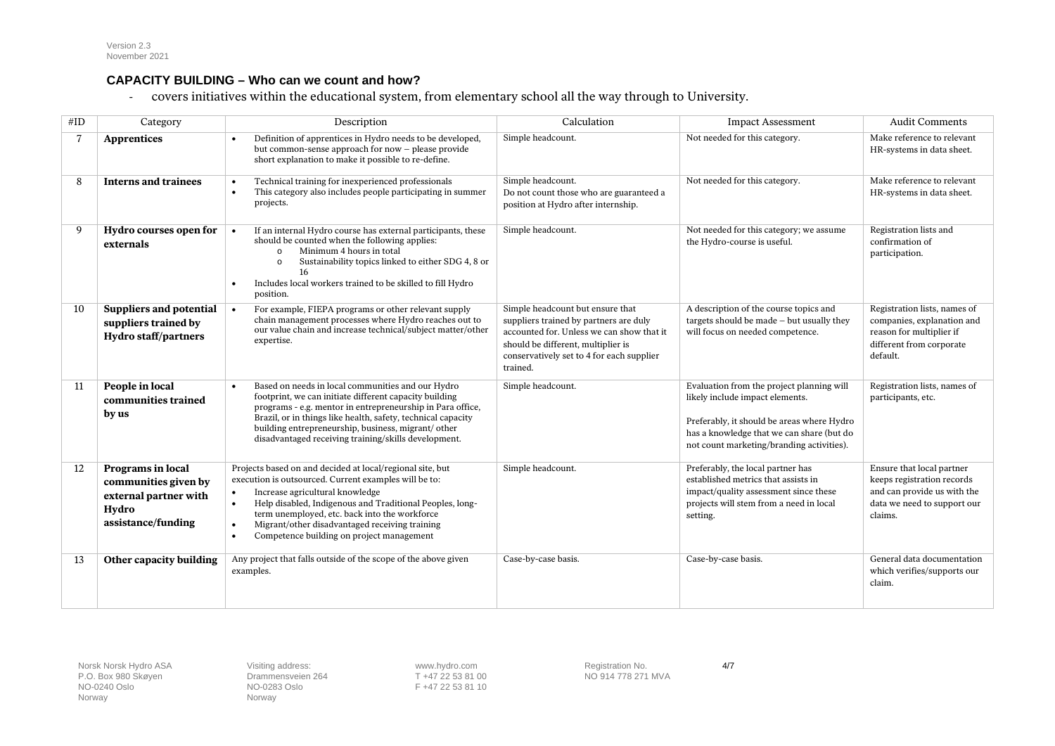#### **CAPACITY BUILDING – Who can we count and how?**

- covers initiatives within the educational system, from elementary school all the way through to University.

| #ID | Category                                                                                          | Description                                                                                                                                                                                                                                                                                                                                                                                                           | Calculation                                                                                                                                                                                                            | <b>Impact Assessment</b>                                                                                                                                                                                             | <b>Audit Comments</b>                                                                                                            |
|-----|---------------------------------------------------------------------------------------------------|-----------------------------------------------------------------------------------------------------------------------------------------------------------------------------------------------------------------------------------------------------------------------------------------------------------------------------------------------------------------------------------------------------------------------|------------------------------------------------------------------------------------------------------------------------------------------------------------------------------------------------------------------------|----------------------------------------------------------------------------------------------------------------------------------------------------------------------------------------------------------------------|----------------------------------------------------------------------------------------------------------------------------------|
|     | Apprentices                                                                                       | Definition of apprentices in Hydro needs to be developed,<br>$\bullet$<br>but common-sense approach for now - please provide<br>short explanation to make it possible to re-define.                                                                                                                                                                                                                                   | Simple headcount.                                                                                                                                                                                                      | Not needed for this category.                                                                                                                                                                                        | Make reference to relevant<br>HR-systems in data sheet.                                                                          |
| 8   | <b>Interns and trainees</b>                                                                       | Technical training for inexperienced professionals<br>$\bullet$<br>This category also includes people participating in summer<br>$\bullet$<br>projects.                                                                                                                                                                                                                                                               | Simple headcount.<br>Do not count those who are guaranteed a<br>position at Hydro after internship.                                                                                                                    | Not needed for this category.                                                                                                                                                                                        | Make reference to relevant<br>HR-systems in data sheet.                                                                          |
| 9   | Hydro courses open for<br>externals                                                               | If an internal Hydro course has external participants, these<br>$\bullet$<br>should be counted when the following applies:<br>Minimum 4 hours in total<br>$\circ$<br>Sustainability topics linked to either SDG 4, 8 or<br>$\Omega$<br>16<br>Includes local workers trained to be skilled to fill Hydro<br>$\bullet$<br>position.                                                                                     | Simple headcount.                                                                                                                                                                                                      | Not needed for this category; we assume<br>the Hydro-course is useful.                                                                                                                                               | Registration lists and<br>confirmation of<br>participation.                                                                      |
| 10  | <b>Suppliers and potential</b><br>suppliers trained by<br><b>Hydro staff/partners</b>             | For example, FIEPA programs or other relevant supply<br>$\bullet$<br>chain management processes where Hydro reaches out to<br>our value chain and increase technical/subject matter/other<br>expertise.                                                                                                                                                                                                               | Simple headcount but ensure that<br>suppliers trained by partners are duly<br>accounted for. Unless we can show that it<br>should be different, multiplier is<br>conservatively set to 4 for each supplier<br>trained. | A description of the course topics and<br>targets should be made $-$ but usually they<br>will focus on needed competence.                                                                                            | Registration lists, names of<br>companies, explanation and<br>reason for multiplier if<br>different from corporate<br>default.   |
| 11  | People in local<br>communities trained<br>by us                                                   | Based on needs in local communities and our Hydro<br>$\bullet$<br>footprint, we can initiate different capacity building<br>programs - e.g. mentor in entrepreneurship in Para office,<br>Brazil, or in things like health, safety, technical capacity<br>building entrepreneurship, business, migrant/ other<br>disadvantaged receiving training/skills development.                                                 | Simple headcount.                                                                                                                                                                                                      | Evaluation from the project planning will<br>likely include impact elements.<br>Preferably, it should be areas where Hydro<br>has a knowledge that we can share (but do<br>not count marketing/branding activities). | Registration lists, names of<br>participants, etc.                                                                               |
| 12  | Programs in local<br>communities given by<br>external partner with<br>Hydro<br>assistance/funding | Projects based on and decided at local/regional site, but<br>execution is outsourced. Current examples will be to:<br>Increase agricultural knowledge<br>$\bullet$<br>Help disabled, Indigenous and Traditional Peoples, long-<br>$\bullet$<br>term unemployed, etc. back into the workforce<br>Migrant/other disadvantaged receiving training<br>$\bullet$<br>Competence building on project management<br>$\bullet$ | Simple headcount.                                                                                                                                                                                                      | Preferably, the local partner has<br>established metrics that assists in<br>impact/quality assessment since these<br>projects will stem from a need in local<br>setting.                                             | Ensure that local partner<br>keeps registration records<br>and can provide us with the<br>data we need to support our<br>claims. |
| 13  | Other capacity building                                                                           | Any project that falls outside of the scope of the above given<br>examples.                                                                                                                                                                                                                                                                                                                                           | Case-by-case basis.                                                                                                                                                                                                    | Case-by-case basis.                                                                                                                                                                                                  | General data documentation<br>which verifies/supports our<br>claim.                                                              |

P.O. Box 980 Skøyen Drammensveien Drammensveien 264 Drammensveien 264 Drammensveien 264 Drammensveien Processe Norway

NO-0283 Oslo F +47 22 53 81 10<br>Norway

Norsk Norsk Hydro ASA **Visiting address:** WWW.hydro.com **Registration No. 4/7 4/7**<br>
P.O. Box 980 Skøyen **Drammensveien 264** T +47 22 53 81 00 NO 914 778 271 MVA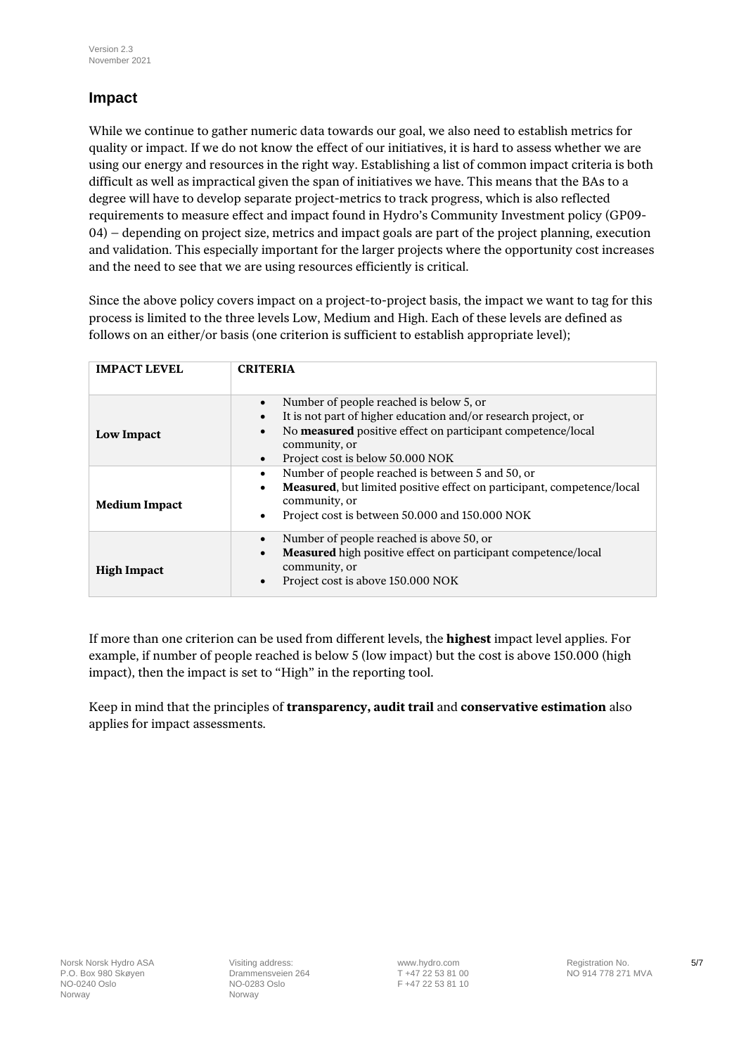### **Impact**

While we continue to gather numeric data towards our goal, we also need to establish metrics for quality or impact. If we do not know the effect of our initiatives, it is hard to assess whether we are using our energy and resources in the right way. Establishing a list of common impact criteria is both difficult as well as impractical given the span of initiatives we have. This means that the BAs to a degree will have to develop separate project-metrics to track progress, which is also reflected requirements to measure effect and impact found in Hydro's Community Investment policy (GP09- 04) – depending on project size, metrics and impact goals are part of the project planning, execution and validation. This especially important for the larger projects where the opportunity cost increases and the need to see that we are using resources efficiently is critical.

Since the above policy covers impact on a project-to-project basis, the impact we want to tag for this process is limited to the three levels Low, Medium and High. Each of these levels are defined as follows on an either/or basis (one criterion is sufficient to establish appropriate level);

| <b>IMPACT LEVEL</b>  | <b>CRITERIA</b>                                                                                                                                                                                                                                                      |  |
|----------------------|----------------------------------------------------------------------------------------------------------------------------------------------------------------------------------------------------------------------------------------------------------------------|--|
| <b>Low Impact</b>    | Number of people reached is below 5, or<br>$\bullet$<br>It is not part of higher education and/or research project, or<br>No measured positive effect on participant competence/local<br>$\bullet$<br>community, or<br>Project cost is below 50.000 NOK<br>$\bullet$ |  |
| <b>Medium Impact</b> | Number of people reached is between 5 and 50, or<br>$\bullet$<br>Measured, but limited positive effect on participant, competence/local<br>$\bullet$<br>community, or<br>Project cost is between 50,000 and 150,000 NOK                                              |  |
| <b>High Impact</b>   | Number of people reached is above 50, or<br>Measured high positive effect on participant competence/local<br>community, or<br>Project cost is above 150.000 NOK                                                                                                      |  |

If more than one criterion can be used from different levels, the **highest** impact level applies. For example, if number of people reached is below 5 (low impact) but the cost is above 150.000 (high impact), then the impact is set to "High" in the reporting tool.

Keep in mind that the principles of **transparency, audit trail** and **conservative estimation** also applies for impact assessments.

F +47 22 53 81 10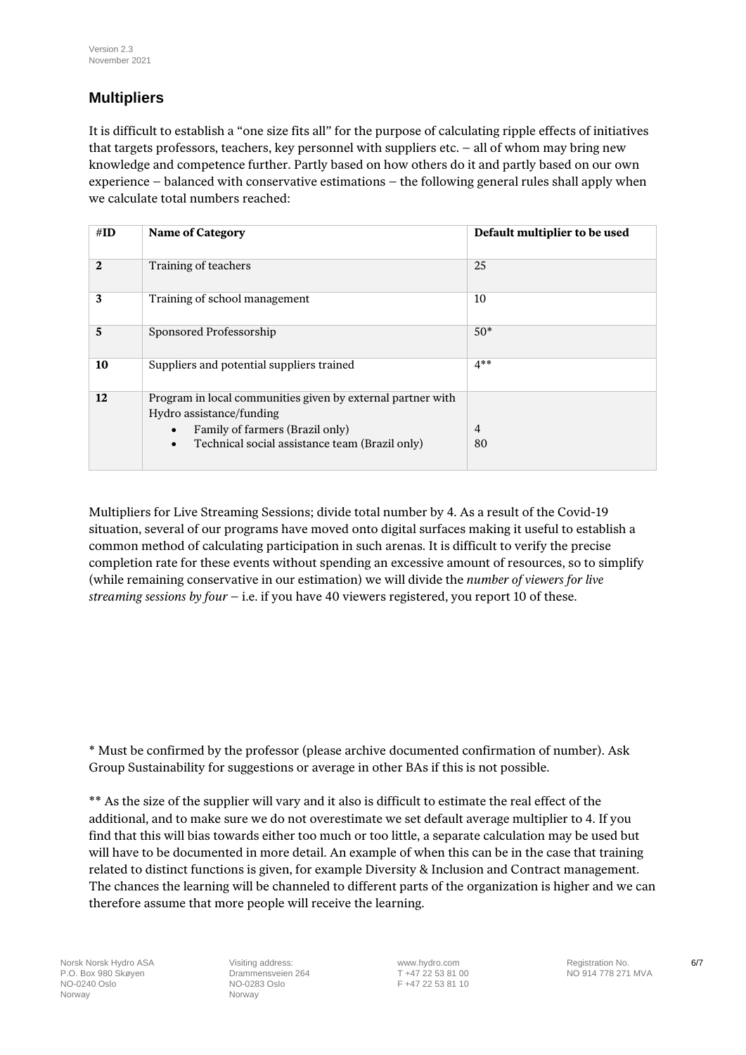## **Multipliers**

It is difficult to establish a "one size fits all" for the purpose of calculating ripple effects of initiatives that targets professors, teachers, key personnel with suppliers etc. – all of whom may bring new knowledge and competence further. Partly based on how others do it and partly based on our own experience – balanced with conservative estimations – the following general rules shall apply when we calculate total numbers reached:

| $\#ID$ | <b>Name of Category</b>                                                                                                                                                                   | Default multiplier to be used |
|--------|-------------------------------------------------------------------------------------------------------------------------------------------------------------------------------------------|-------------------------------|
| 2      | Training of teachers                                                                                                                                                                      | 25                            |
| 3      | Training of school management                                                                                                                                                             | 10                            |
| 5      | Sponsored Professorship                                                                                                                                                                   | $50*$                         |
| 10     | Suppliers and potential suppliers trained                                                                                                                                                 | $4**$                         |
| 12     | Program in local communities given by external partner with<br>Hydro assistance/funding<br>Family of farmers (Brazil only)<br>Technical social assistance team (Brazil only)<br>$\bullet$ | $\overline{4}$<br>80          |

Multipliers for Live Streaming Sessions; divide total number by 4. As a result of the Covid-19 situation, several of our programs have moved onto digital surfaces making it useful to establish a common method of calculating participation in such arenas. It is difficult to verify the precise completion rate for these events without spending an excessive amount of resources, so to simplify (while remaining conservative in our estimation) we will divide the *number of viewers for live streaming sessions by four* – i.e. if you have 40 viewers registered, you report 10 of these.

\* Must be confirmed by the professor (please archive documented confirmation of number). Ask Group Sustainability for suggestions or average in other BAs if this is not possible.

\*\* As the size of the supplier will vary and it also is difficult to estimate the real effect of the additional, and to make sure we do not overestimate we set default average multiplier to 4. If you find that this will bias towards either too much or too little, a separate calculation may be used but will have to be documented in more detail. An example of when this can be in the case that training related to distinct functions is given, for example Diversity & Inclusion and Contract management. The chances the learning will be channeled to different parts of the organization is higher and we can therefore assume that more people will receive the learning.

Norsk Norsk Hydro ASA **Visiting address:** [www.hydro.com](http://www.hydro.com/) **COVID Registration No.** 6/7<br>
R. O. Box 980 Skøyen **COVID REGIST VISIT VALUATE EN ENGLISHED AT 147 22 53 81 00** COVID RO 914 778 271 MVA P.O. Box 980 Skøyen Drammensveien Drammensveien 264 Drammensveien 264 Drammensveien 264 Drammensveien 271 271 MV<br>NO-0283 Oslo Norway **Norway** Norway

F +47 22 53 81 10